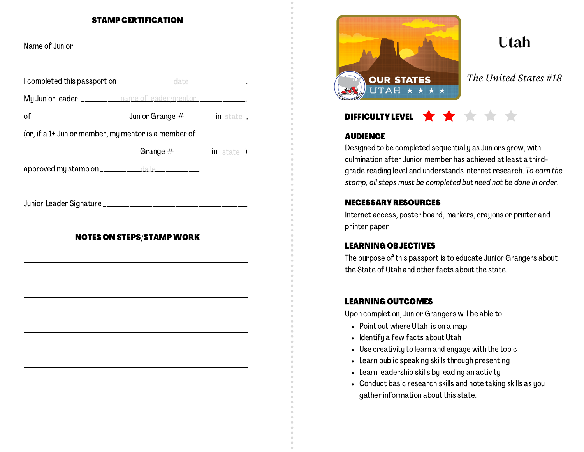#### STAMP CERTIFICATION

| My Junior leader, ___________ name of leader/mentor ____________________________ |                                  |  |
|----------------------------------------------------------------------------------|----------------------------------|--|
|                                                                                  |                                  |  |
| (or, if a 1+ Junior member, my mentor is a member of                             |                                  |  |
| ___________________________________Grange             #___________ in _state_)   |                                  |  |
| approved my stamp on _____________date ____________.                             |                                  |  |
|                                                                                  |                                  |  |
|                                                                                  |                                  |  |
|                                                                                  | <b>NOTES ON STEPS/STAMP WORK</b> |  |
|                                                                                  |                                  |  |
|                                                                                  |                                  |  |
|                                                                                  |                                  |  |
|                                                                                  |                                  |  |
|                                                                                  |                                  |  |
|                                                                                  |                                  |  |
|                                                                                  |                                  |  |



*The United States #18*

Utah

# DIFFICULTY LEVEL

### **AUDIENCE**

Designed to be completed sequentially as Juniors grow, with culmination after Junior member has achieved at least a thirdgrade reading level and understands internet research. To earn the stamp, all steps must be completed but need not be done in order.

### NECESSARY RESOURCES

Internet access, poster board, markers, crayons or printer and printer paper

### LEARNING OBJECTIVES

The purpose of this passport is to educate Junior Grangers about the State of Utah and other facts about the state.

### LEARNING OUTCOMES

Upon completion, Junior Grangers will be able to:

- Point out where Utah is on a map
- Identify a few facts about Utah
- Use creativity to learn and engage with the topic
- Learn public speaking skills through presenting
- Learn leadership skills by leading an activity
- Conduct basic research skills and note taking skills as you gather information about this state.